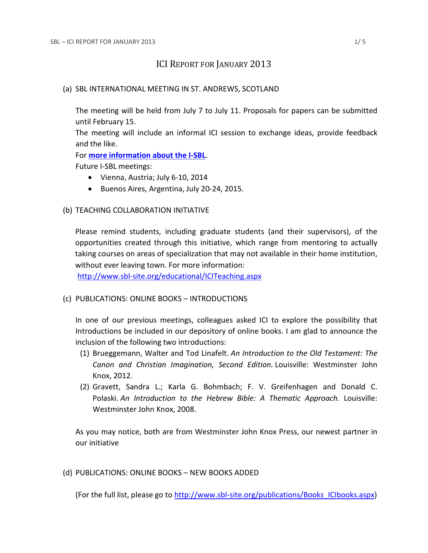# ICI REPORT FOR JANUARY 2013

## (a) SBL INTERNATIONAL MEETING IN ST. ANDREWS, SCOTLAND

The meeting will be held from July 7 to July 11. Proposals for papers can be submitted until February 15.

The meeting will include an informal ICI session to exchange ideas, provide feedback and the like.

For **[more information about the I-SBL](http://www.sbl-site.org/meetings/Internationalmeeting.aspx)**.

Future I-SBL meetings:

- Vienna, Austria; July 6-10, 2014
- Buenos Aires, Argentina, July 20-24, 2015.

# (b) TEACHING COLLABORATION INITIATIVE

Please remind students, including graduate students (and their supervisors), of the opportunities created through this initiative, which range from mentoring to actually taking courses on areas of specialization that may not available in their home institution, without ever leaving town. For more information:

<http://www.sbl-site.org/educational/ICITeaching.aspx>

# (c) PUBLICATIONS: ONLINE BOOKS – INTRODUCTIONS

In one of our previous meetings, colleagues asked ICI to explore the possibility that Introductions be included in our depository of online books. I am glad to announce the inclusion of the following two introductions:

- (1) Brueggemann, Walter and Tod Linafelt. *An Introduction to the Old Testament: The Canon and Christian Imagination, Second Edition.* Louisville: Westminster John Knox, 2012.
- (2) Gravett, Sandra L.; Karla G. Bohmbach; F. V. Greifenhagen and Donald C. Polaski. *An Introduction to the Hebrew Bible: A Thematic Approach.* Louisville: Westminster John Knox, 2008.

As you may notice, both are from Westminster John Knox Press, our newest partner in our initiative

(d) PUBLICATIONS: ONLINE BOOKS – NEW BOOKS ADDED

(For the full list, please go to [http://www.sbl-site.org/publications/Books\\_ICIbooks.aspx\)](http://www.sbl-site.org/publications/Books_ICIbooks.aspx)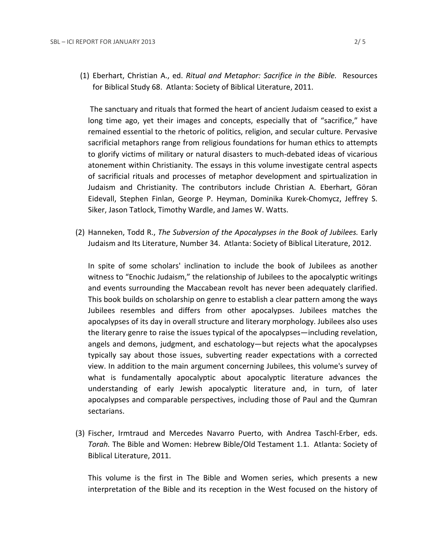(1) Eberhart, Christian A., ed. *Ritual and Metaphor: Sacrifice in the Bible.* Resources for Biblical Study 68. Atlanta: Society of Biblical Literature, 2011.

The sanctuary and rituals that formed the heart of ancient Judaism ceased to exist a long time ago, yet their images and concepts, especially that of "sacrifice," have remained essential to the rhetoric of politics, religion, and secular culture. Pervasive sacrificial metaphors range from religious foundations for human ethics to attempts to glorify victims of military or natural disasters to much-debated ideas of vicarious atonement within Christianity. The essays in this volume investigate central aspects of sacrificial rituals and processes of metaphor development and spirtualization in Judaism and Christianity. The contributors include Christian A. Eberhart, Göran Eidevall, Stephen Finlan, George P. Heyman, Dominika Kurek-Chomycz, Jeffrey S. Siker, Jason Tatlock, Timothy Wardle, and James W. Watts.

(2) Hanneken, Todd R., *The Subversion of the Apocalypses in the Book of Jubilees.* Early Judaism and Its Literature, Number 34. Atlanta: Society of Biblical Literature, 2012.

In spite of some scholars' inclination to include the book of Jubilees as another witness to "Enochic Judaism," the relationship of Jubilees to the apocalyptic writings and events surrounding the Maccabean revolt has never been adequately clarified. This book builds on scholarship on genre to establish a clear pattern among the ways Jubilees resembles and differs from other apocalypses. Jubilees matches the apocalypses of its day in overall structure and literary morphology. Jubilees also uses the literary genre to raise the issues typical of the apocalypses—including revelation, angels and demons, judgment, and eschatology—but rejects what the apocalypses typically say about those issues, subverting reader expectations with a corrected view. In addition to the main argument concerning Jubilees, this volume's survey of what is fundamentally apocalyptic about apocalyptic literature advances the understanding of early Jewish apocalyptic literature and, in turn, of later apocalypses and comparable perspectives, including those of Paul and the Qumran sectarians.

(3) Fischer, Irmtraud and Mercedes Navarro Puerto, with Andrea Taschl-Erber, eds. *Torah.* The Bible and Women: Hebrew Bible/Old Testament 1.1. Atlanta: Society of Biblical Literature, 2011.

This volume is the first in The Bible and Women series, which presents a new interpretation of the Bible and its reception in the West focused on the history of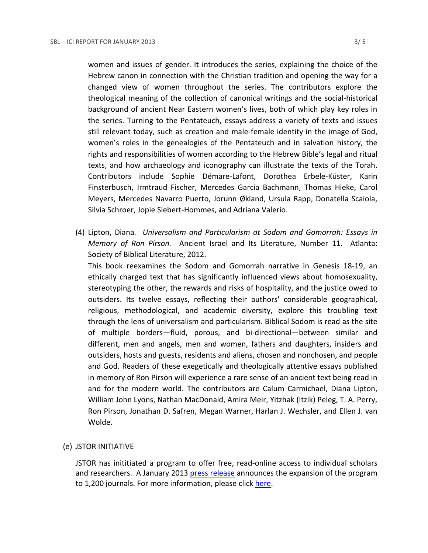women and issues of gender. It introduces the series, explaining the choice of the Hebrew canon in connection with the Christian tradition and opening the way for a changed view of women throughout the series. The contributors explore the theological meaning of the collection of canonical writings and the social-historical background of ancient Near Eastern women's lives, both of which play key roles in the series. Turning to the Pentateuch, essays address a variety of texts and issues still relevant today, such as creation and male-female identity in the image of God, women's roles in the genealogies of the Pentateuch and in salvation history, the rights and responsibilities of women according to the Hebrew Bible's legal and ritual texts, and how archaeology and iconography can illustrate the texts of the Torah. Contributors include Sophie Démare-Lafont, Dorothea Erbele-Küster, Karin Finsterbusch, Irmtraud Fischer, Mercedes García Bachmann, Thomas Hieke, Carol Meyers, Mercedes Navarro Puerto, Jorunn Økland, Ursula Rapp, Donatella Scaiola, Silvia Schroer, Jopie Siebert-Hommes, and Adriana Valerio.

(4) Lipton, Diana*. Universalism and Particularism at Sodom and Gomorrah: Essays in Memory of Ron Pirson.* Ancient Israel and Its Literature, Number 11. Atlanta: Society of Biblical Literature, 2012.

This book reexamines the Sodom and Gomorrah narrative in Genesis 18-19, an ethically charged text that has significantly influenced views about homosexuality, stereotyping the other, the rewards and risks of hospitality, and the justice owed to outsiders. Its twelve essays, reflecting their authors' considerable geographical, religious, methodological, and academic diversity, explore this troubling text through the lens of universalism and particularism. Biblical Sodom is read as the site of multiple borders—fluid, porous, and bi-directional—between similar and different, men and angels, men and women, fathers and daughters, insiders and outsiders, hosts and guests, residents and aliens, chosen and nonchosen, and people and God. Readers of these exegetically and theologically attentive essays published in memory of Ron Pirson will experience a rare sense of an ancient text being read in and for the modern world. The contributors are Calum Carmichael, Diana Lipton, William John Lyons, Nathan MacDonald, Amira Meir, Yitzhak (Itzik) Peleg, T. A. Perry, Ron Pirson, Jonathan D. Safren, Megan Warner, Harlan J. Wechsler, and Ellen J. van Wolde.

# (e) JSTOR INITIATIVE

JSTOR has inititiated a program to offer free, read-online access to individual scholars and researchers. A January 2013 [press release](http://about.jstor.org/news/free-read) announces the expansion of the program to 1,200 journals. For more information, please click [here.](http://ancientworldonline.blogspot.ca/2012/03/jstor-register-read.html)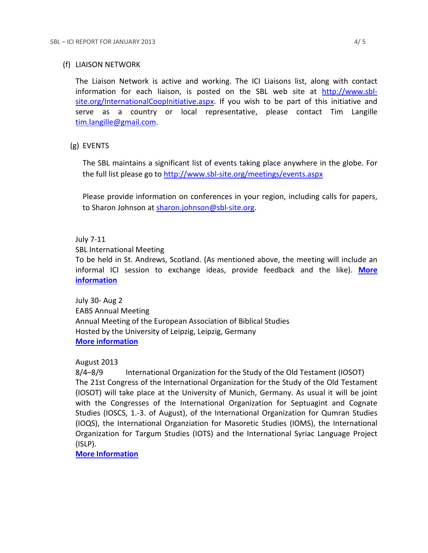#### (f) LIAISON NETWORK

The Liaison Network is active and working. The ICI Liaisons list, along with contact information for each liaison, is posted on the SBL web site at [http://www.sbl](http://www.sbl-site.org/InternationalCoopInitiative.aspx)[site.org/InternationalCoopInitiative.aspx.](http://www.sbl-site.org/InternationalCoopInitiative.aspx) If you wish to be part of this initiative and serve as a country or local representative, please contact Tim Langille [tim.langille@gmail.com.](mailto:tim.langille@gmail.com)

## (g) EVENTS

The SBL maintains a significant list of events taking place anywhere in the globe. For the full list please go to<http://www.sbl-site.org/meetings/events.aspx>

Please provide information on conferences in your region, including calls for papers, to Sharon Johnson at [sharon.johnson@sbl-site.org.](mailto:sharon.johnson@sbl-site.org)

## July 7-11

SBL International Meeting

To be held in St. Andrews, Scotland. (As mentioned above, the meeting will include an informal ICI session to exchange ideas, provide feedback and the like). **[More](http://www.sbl-site.org/meetings/Internationalmeeting.aspx)  [information](http://www.sbl-site.org/meetings/Internationalmeeting.aspx)**

July 30- Aug 2 EABS Annual Meeting Annual Meeting of the European Association of Biblical Studies Hosted by the University of Leipzig, Leipzig, Germany **[More information](http://www.eabs.net/)**

# August 2013

8/4–8/9 International Organization for the Study of the Old Testament (IOSOT) The 21st Congress of the International Organization for the Study of the Old Testament (IOSOT) will take place at the University of Munich, Germany. As usual it will be joint with the Congresses of the International Organization for Septuagint and Cognate Studies (IOSCS, 1.-3. of August), of the International Organization for Qumran Studies (IOQS), the International Organziation for Masoretic Studies (IOMS), the International Organization for Targum Studies (IOTS) and the International Syriac Language Project (ISLP).

**[More Information](http://www.en.iosot2013.evtheol.uni-muenchen.de/index.html)**